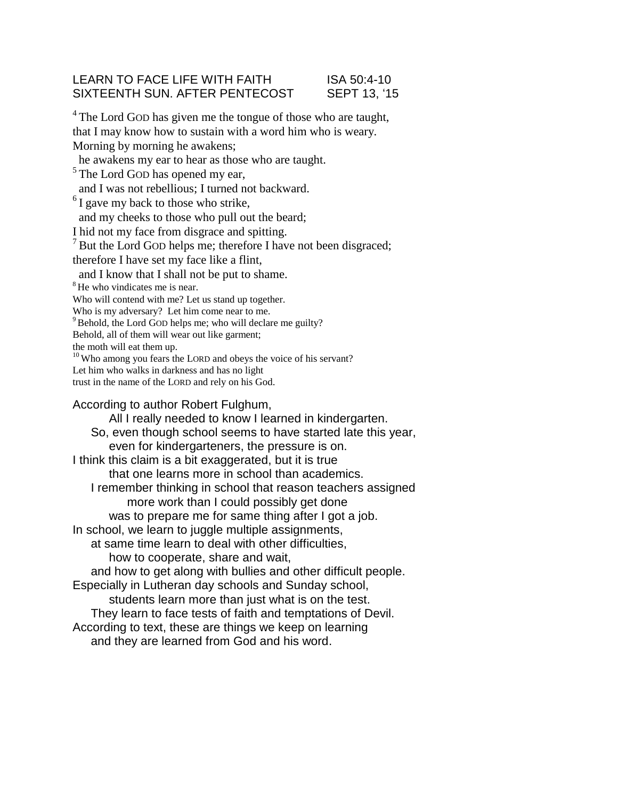# LEARN TO FACE LIFE WITH FAITH ISA 50:4-10 SIXTEENTH SUN. AFTER PENTECOST SEPT 13, '15

<sup>4</sup>The Lord GOD has given me the tongue of those who are taught, that I may know how to sustain with a word him who is weary. Morning by morning he awakens; he awakens my ear to hear as those who are taught. <sup>5</sup>The Lord GOD has opened my ear, and I was not rebellious; I turned not backward.  $<sup>6</sup>$ I gave my back to those who strike,</sup> and my cheeks to those who pull out the beard; I hid not my face from disgrace and spitting.  $<sup>7</sup>$  But the Lord GOD helps me; therefore I have not been disgraced;</sup> therefore I have set my face like a flint, and I know that I shall not be put to shame. <sup>8</sup>He who vindicates me is near. Who will contend with me? Let us stand up together. Who is my adversary? Let him come near to me. <sup>9</sup> Behold, the Lord GOD helps me; who will declare me guilty? Behold, all of them will wear out like garment; the moth will eat them up.  $10$  Who among you fears the LORD and obeys the voice of his servant? Let him who walks in darkness and has no light trust in the name of the LORD and rely on his God.

According to author Robert Fulghum, All I really needed to know I learned in kindergarten. So, even though school seems to have started late this year, even for kindergarteners, the pressure is on. I think this claim is a bit exaggerated, but it is true that one learns more in school than academics. I remember thinking in school that reason teachers assigned more work than I could possibly get done was to prepare me for same thing after I got a job. In school, we learn to juggle multiple assignments, at same time learn to deal with other difficulties, how to cooperate, share and wait, and how to get along with bullies and other difficult people. Especially in Lutheran day schools and Sunday school, students learn more than just what is on the test. They learn to face tests of faith and temptations of Devil. According to text, these are things we keep on learning and they are learned from God and his word.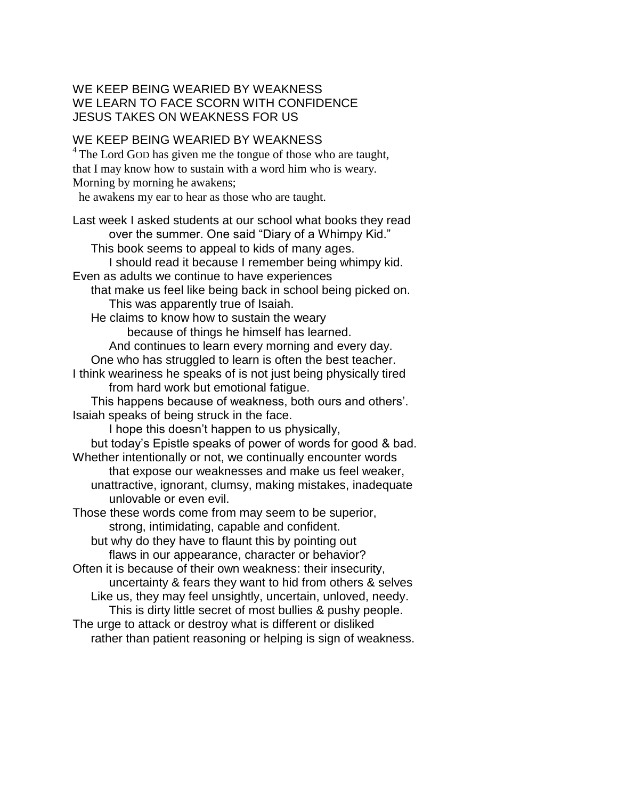# WE KEEP BEING WEARIED BY WEAKNESS WE LEARN TO FACE SCORN WITH CONFIDENCE JESUS TAKES ON WEAKNESS FOR US

# WE KEEP BEING WEARIED BY WEAKNESS

<sup>4</sup>The Lord GOD has given me the tongue of those who are taught, that I may know how to sustain with a word him who is weary. Morning by morning he awakens;

he awakens my ear to hear as those who are taught.

Last week I asked students at our school what books they read over the summer. One said "Diary of a Whimpy Kid." This book seems to appeal to kids of many ages. I should read it because I remember being whimpy kid. Even as adults we continue to have experiences that make us feel like being back in school being picked on. This was apparently true of Isaiah. He claims to know how to sustain the weary because of things he himself has learned. And continues to learn every morning and every day. One who has struggled to learn is often the best teacher. I think weariness he speaks of is not just being physically tired from hard work but emotional fatigue. This happens because of weakness, both ours and others'. Isaiah speaks of being struck in the face. I hope this doesn't happen to us physically, but today's Epistle speaks of power of words for good & bad. Whether intentionally or not, we continually encounter words that expose our weaknesses and make us feel weaker, unattractive, ignorant, clumsy, making mistakes, inadequate unlovable or even evil. Those these words come from may seem to be superior, strong, intimidating, capable and confident. but why do they have to flaunt this by pointing out flaws in our appearance, character or behavior? Often it is because of their own weakness: their insecurity, uncertainty & fears they want to hid from others & selves Like us, they may feel unsightly, uncertain, unloved, needy. This is dirty little secret of most bullies & pushy people. The urge to attack or destroy what is different or disliked rather than patient reasoning or helping is sign of weakness.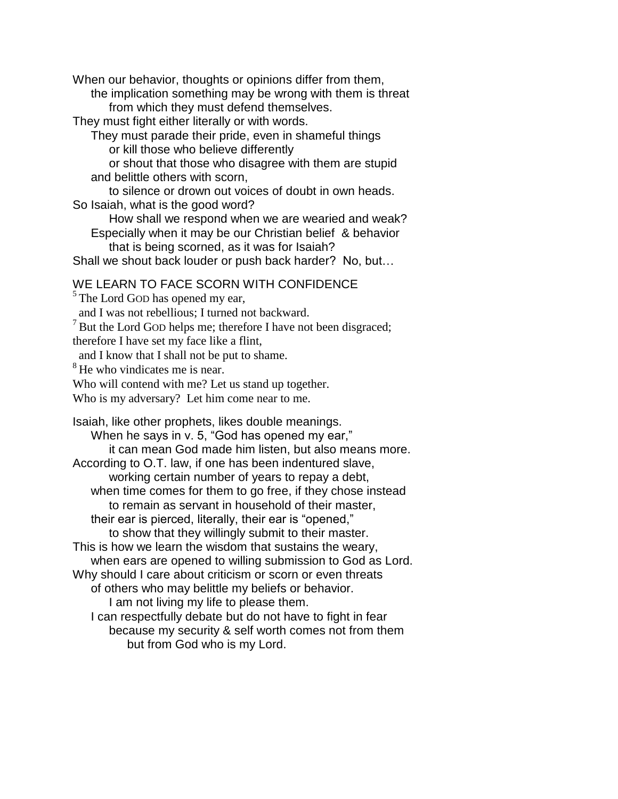When our behavior, thoughts or opinions differ from them,

the implication something may be wrong with them is threat from which they must defend themselves.

They must fight either literally or with words.

They must parade their pride, even in shameful things

or kill those who believe differently

or shout that those who disagree with them are stupid and belittle others with scorn,

to silence or drown out voices of doubt in own heads. So Isaiah, what is the good word?

How shall we respond when we are wearied and weak?

Especially when it may be our Christian belief & behavior that is being scorned, as it was for Isaiah?

Shall we shout back louder or push back harder? No, but…

### WE LEARN TO FACE SCORN WITH CONFIDENCE

 $<sup>5</sup>$  The Lord GOD has opened my ear,</sup>

and I was not rebellious; I turned not backward.

 $<sup>7</sup>$  But the Lord GOD helps me; therefore I have not been disgraced;</sup>

therefore I have set my face like a flint,

and I know that I shall not be put to shame.

 $8$ He who vindicates me is near.

Who will contend with me? Let us stand up together.

Who is my adversary? Let him come near to me.

Isaiah, like other prophets, likes double meanings. When he says in v. 5, "God has opened my ear," it can mean God made him listen, but also means more. According to O.T. law, if one has been indentured slave, working certain number of years to repay a debt, when time comes for them to go free, if they chose instead to remain as servant in household of their master, their ear is pierced, literally, their ear is "opened," to show that they willingly submit to their master. This is how we learn the wisdom that sustains the weary, when ears are opened to willing submission to God as Lord. Why should I care about criticism or scorn or even threats of others who may belittle my beliefs or behavior. I am not living my life to please them. I can respectfully debate but do not have to fight in fear because my security & self worth comes not from them but from God who is my Lord.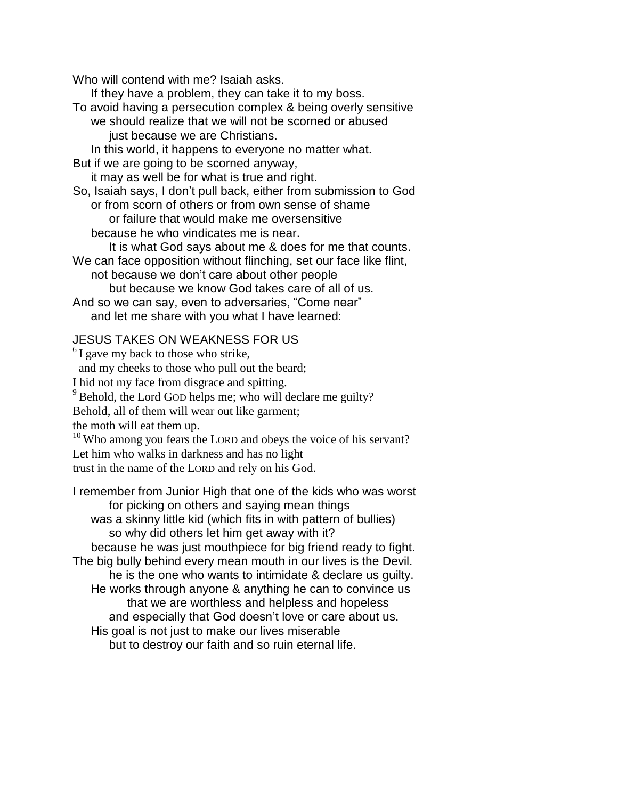Who will contend with me? Isaiah asks.

If they have a problem, they can take it to my boss.

To avoid having a persecution complex & being overly sensitive we should realize that we will not be scorned or abused just because we are Christians.

In this world, it happens to everyone no matter what.

But if we are going to be scorned anyway,

it may as well be for what is true and right.

So, Isaiah says, I don't pull back, either from submission to God or from scorn of others or from own sense of shame or failure that would make me oversensitive because he who vindicates me is near.

It is what God says about me & does for me that counts. We can face opposition without flinching, set our face like flint,

not because we don't care about other people but because we know God takes care of all of us.

And so we can say, even to adversaries, "Come near" and let me share with you what I have learned:

# JESUS TAKES ON WEAKNESS FOR US

 $<sup>6</sup>$ I gave my back to those who strike,</sup> and my cheeks to those who pull out the beard; I hid not my face from disgrace and spitting.  $9^9$  Behold, the Lord GOD helps me; who will declare me guilty? Behold, all of them will wear out like garment; the moth will eat them up.  $10$  Who among you fears the LORD and obeys the voice of his servant? Let him who walks in darkness and has no light trust in the name of the LORD and rely on his God. I remember from Junior High that one of the kids who was worst

for picking on others and saying mean things was a skinny little kid (which fits in with pattern of bullies) so why did others let him get away with it?

because he was just mouthpiece for big friend ready to fight. The big bully behind every mean mouth in our lives is the Devil. he is the one who wants to intimidate & declare us guilty. He works through anyone & anything he can to convince us that we are worthless and helpless and hopeless and especially that God doesn't love or care about us. His goal is not just to make our lives miserable

but to destroy our faith and so ruin eternal life.